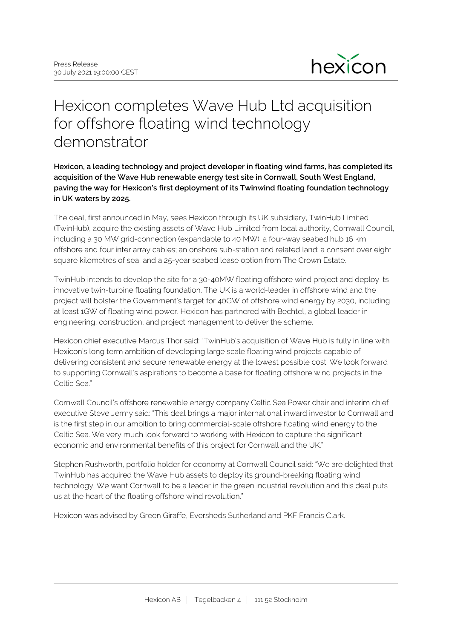

## Hexicon completes Wave Hub Ltd acquisition for offshore floating wind technology demonstrator

**Hexicon, a leading technology and project developer in floating wind farms, has completed its acquisition of the Wave Hub renewable energy test site in Cornwall, South West England, paving the way for Hexicon's first deployment of its Twinwind floating foundation technology in UK waters by 2025.**

The deal, first announced in May, sees Hexicon through its UK subsidiary, TwinHub Limited (TwinHub), acquire the existing assets of Wave Hub Limited from local authority, Cornwall Council, including a 30 MW grid-connection (expandable to 40 MW); a four-way seabed hub 16 km offshore and four inter array cables; an onshore sub-station and related land; a consent over eight square kilometres of sea, and a 25-year seabed lease option from The Crown Estate.

TwinHub intends to develop the site for a 30-40MW floating offshore wind project and deploy its innovative twin-turbine floating foundation. The UK is a world-leader in offshore wind and the project will bolster the Government's target for 40GW of offshore wind energy by 2030, including at least 1GW of floating wind power. Hexicon has partnered with Bechtel, a global leader in engineering, construction, and project management to deliver the scheme.

Hexicon chief executive Marcus Thor said: "TwinHub's acquisition of Wave Hub is fully in line with Hexicon's long term ambition of developing large scale floating wind projects capable of delivering consistent and secure renewable energy at the lowest possible cost. We look forward to supporting Cornwall's aspirations to become a base for floating offshore wind projects in the Celtic Sea."

Cornwall Council's offshore renewable energy company Celtic Sea Power chair and interim chief executive Steve Jermy said: "This deal brings a major international inward investor to Cornwall and is the first step in our ambition to bring commercial-scale offshore floating wind energy to the Celtic Sea. We very much look forward to working with Hexicon to capture the significant economic and environmental benefits of this project for Cornwall and the UK."

Stephen Rushworth, portfolio holder for economy at Cornwall Council said: "We are delighted that TwinHub has acquired the Wave Hub assets to deploy its ground-breaking floating wind technology. We want Cornwall to be a leader in the green industrial revolution and this deal puts us at the heart of the floating offshore wind revolution."

Hexicon was advised by Green Giraffe, Eversheds Sutherland and PKF Francis Clark.